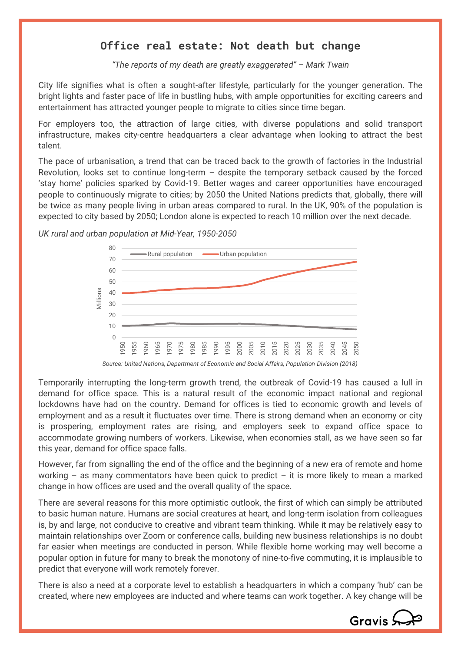## **Office real estate: Not death but change**

*"The reports of my death are greatly exaggerated" – Mark Twain*

City life signifies what is often a sought-after lifestyle, particularly for the younger generation. The bright lights and faster pace of life in bustling hubs, with ample opportunities for exciting careers and entertainment has attracted younger people to migrate to cities since time began.

For employers too, the attraction of large cities, with diverse populations and solid transport infrastructure, makes city-centre headquarters a clear advantage when looking to attract the best talent.

The pace of urbanisation, a trend that can be traced back to the growth of factories in the Industrial Revolution, looks set to continue long-term  $-$  despite the temporary setback caused by the forced 'stay home' policies sparked by Covid-19. Better wages and career opportunities have encouraged people to continuously migrate to cities; by 2050 the United Nations predicts that, globally, there will be twice as many people living in urban areas compared to rural. In the UK, 90% of the population is expected to city based by 2050; London alone is expected to reach 10 million over the next decade.

*UK rural and urban population at Mid-Year, 1950-2050*



Temporarily interrupting the long-term growth trend, the outbreak of Covid-19 has caused a lull in demand for office space. This is a natural result of the economic impact national and regional lockdowns have had on the country. Demand for offices is tied to economic growth and levels of employment and as a result it fluctuates over time. There is strong demand when an economy or city is prospering, employment rates are rising, and employers seek to expand office space to accommodate growing numbers of workers. Likewise, when economies stall, as we have seen so far this year, demand for office space falls.

However, far from signalling the end of the office and the beginning of a new era of remote and home working – as many commentators have been quick to predict – it is more likely to mean a marked change in how offices are used and the overall quality of the space.

There are several reasons for this more optimistic outlook, the first of which can simply be attributed to basic human nature. Humans are social creatures at heart, and long-term isolation from colleagues is, by and large, not conducive to creative and vibrant team thinking. While it may be relatively easy to maintain relationships over Zoom or conference calls, building new business relationships is no doubt far easier when meetings are conducted in person. While flexible home working may well become a popular option in future for many to break the monotony of nine-to-five commuting, it is implausible to predict that everyone will work remotely forever.

There is also a need at a corporate level to establish a headquarters in which a company 'hub' can be created, where new employees are inducted and where teams can work together. A key change will be

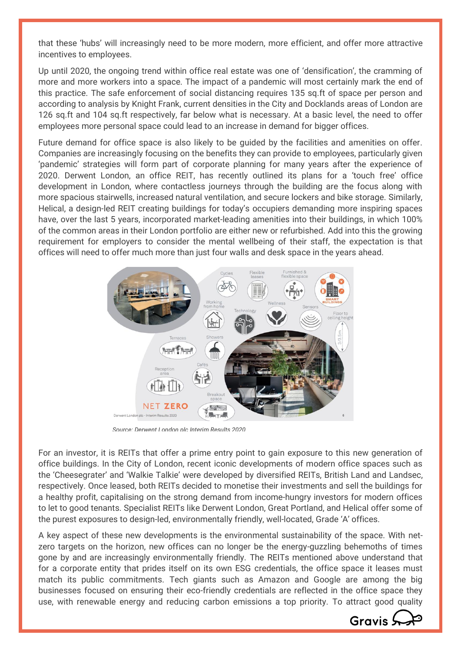that these 'hubs' will increasingly need to be more modern, more efficient, and offer more attractive incentives to employees.

Up until 2020, the ongoing trend within office real estate was one of 'densification', the cramming of more and more workers into a space. The impact of a pandemic will most certainly mark the end of this practice. The safe enforcement of social distancing requires 135 sq.ft of space per person and according to analysis by Knight Frank, current densities in the City and Docklands areas of London are 126 sq.ft and 104 sq.ft respectively, far below what is necessary. At a basic level, the need to offer employees more personal space could lead to an increase in demand for bigger offices.

Future demand for office space is also likely to be guided by the facilities and amenities on offer. Companies are increasingly focusing on the benefits they can provide to employees, particularly given 'pandemic' strategies will form part of corporate planning for many years after the experience of 2020. Derwent London, an office REIT, has recently outlined its plans for a 'touch free' office development in London, where contactless journeys through the building are the focus along with more spacious stairwells, increased natural ventilation, and secure lockers and bike storage. Similarly, Helical, a design-led REIT creating buildings for today's occupiers demanding more inspiring spaces have, over the last 5 years, incorporated market-leading amenities into their buildings, in which 100% of the common areas in their London portfolio are either new or refurbished. Add into this the growing requirement for employers to consider the mental wellbeing of their staff, the expectation is that offices will need to offer much more than just four walls and desk space in the years ahead.



*Source: Derwent London plc Interim Results 2020*

For an investor, it is REITs that offer a prime entry point to gain exposure to this new generation of office buildings. In the City of London, recent iconic developments of modern office spaces such as the 'Cheesegrater' and 'Walkie Talkie' were developed by diversified REITs, British Land and Landsec, respectively. Once leased, both REITs decided to monetise their investments and sell the buildings for a healthy profit, capitalising on the strong demand from income-hungry investors for modern offices to let to good tenants. Specialist REITs like Derwent London, Great Portland, and Helical offer some of the purest exposures to design-led, environmentally friendly, well-located, Grade 'A' offices.

A key aspect of these new developments is the environmental sustainability of the space. With netzero targets on the horizon, new offices can no longer be the energy-guzzling behemoths of times gone by and are increasingly environmentally friendly. The REITs mentioned above understand that for a corporate entity that prides itself on its own ESG credentials, the office space it leases must match its public commitments. Tech giants such as Amazon and Google are among the big businesses focused on ensuring their eco-friendly credentials are reflected in the office space they use, with renewable energy and reducing carbon emissions a top priority. To attract good quality